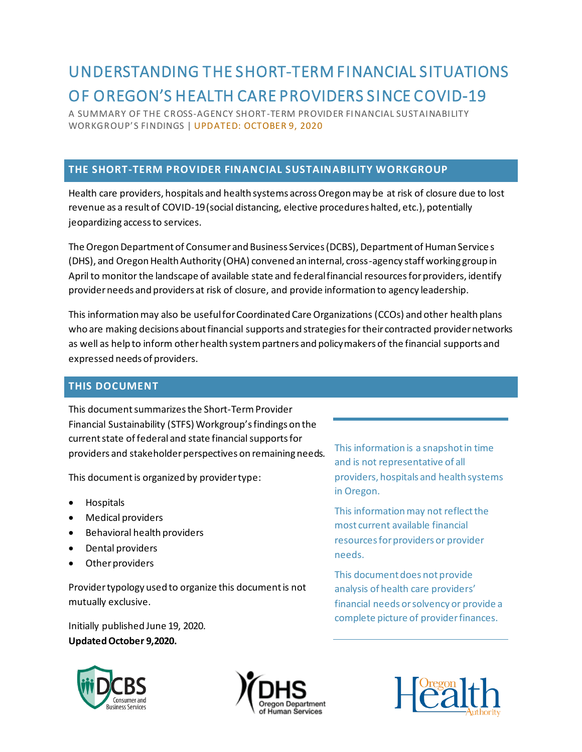# UNDERSTANDING THE SHORT-TERM FINANCIAL SITUATIONS OF OREGON'S HEALTH CARE PROVIDERS SINCE COVID-19

A SUMMARY OF THE CROSS-AGENCY SHORT-TERM PROVIDER FINANCIAL SUSTAINABILITY WORKGROUP'S FINDINGS | UPDATED: OCTOBER 9, 2020

### **THE SHORT-TERM PROVIDER FINANCIAL SUSTAINABILITY WORKGROUP**

Health care providers, hospitals and health systems across Oregon may be at risk of closure due to lost revenue as a result of COVID-19 (social distancing, elective procedures halted, etc.), potentially jeopardizing access to services.

The Oregon Department of Consumer and Business Services (DCBS), Department of Human Service s (DHS), and Oregon Health Authority (OHA) convened an internal, cross-agency staff working group in April to monitor the landscape of available state and federal financial resources for providers, identify provider needs and providers at risk of closure, and provide information to agency leadership.

This information may also be useful for Coordinated Care Organizations (CCOs) and other health plans who are making decisions about financial supports and strategies for their contracted provider networks as well as help to inform other health system partners and policymakers of the financial supports and expressed needs of providers.

## **THIS DOCUMENT**

This document summarizes the Short-Term Provider Financial Sustainability (STFS) Workgroup's findings on the current state of federal and state financial supports for providers and stakeholder perspectives on remaining needs.

This document is organized by provider type:

- Hospitals
- Medical providers
- Behavioral health providers
- Dental providers
- Other providers

Provider typology used to organize this document is not mutually exclusive.

Initially published June 19, 2020. **Updated October 9,2020.**

Consumer and



This information is a snapshot in time and is not representative of all providers, hospitals and health systems in Oregon.

This information may not reflect the most current available financial resources for providers or provider needs.

This document does not provide analysis of health care providers' financial needs or solvency or provide a complete picture of provider finances.

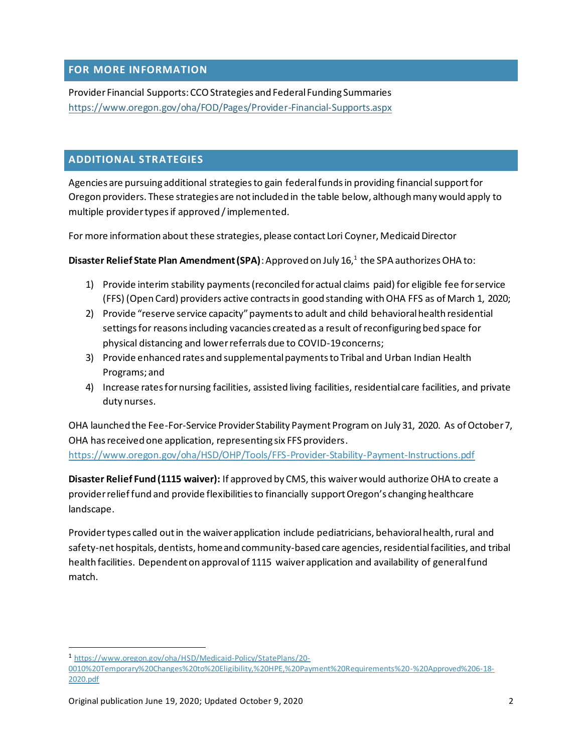#### **FOR MORE INFORMATION**

Provider Financial Supports: CCO Strategies and Federal Funding Summaries [https://www.oregon.gov/oha/FOD/Pages/Provider-Financial-Supports.aspx](https://www.oregon.gov/oha/FOD/Pages/Provider-Financial-Supports.aspx?wp4871=l:25)

#### **ADDITIONAL STRATEGIES**

Agencies are pursuing additional strategies to gain federal funds in providing financial support for Oregon providers. These strategies are not included in the table below, although many would apply to multiple provider types if approved / implemented.

For more information about these strategies, please contact Lori Coyner, Medicaid Director

**Disaster Relief State Plan Amendment (SPA)**: Approved on July 16, 1 the SPA authorizes OHA to:

- 1) Provide interim stability payments (reconciled for actual claims paid) for eligible fee for service (FFS) (Open Card) providers active contracts in good standing with OHA FFS as of March 1, 2020;
- 2) Provide "reserve service capacity" payments to adult and child behavioral health residential settings for reasons including vacancies created as a result of reconfiguring bed space for physical distancing and lower referrals due to COVID-19 concerns;
- 3) Provide enhanced rates and supplemental payments to Tribal and Urban Indian Health Programs; and
- 4) Increase rates for nursing facilities, assisted living facilities, residential care facilities, and private duty nurses.

OHA launched the Fee-For-Service Provider Stability Payment Program on July 31, 2020. As of October 7, OHA has received one application, representing six FFS providers. <https://www.oregon.gov/oha/HSD/OHP/Tools/FFS-Provider-Stability-Payment-Instructions.pdf>

**Disaster Relief Fund (1115 waiver):** If approved by CMS, this waiver would authorize OHA to create a provider relief fund and provide flexibilities to financially support Oregon's changing healthcare landscape.

Provider types called out in the waiver application include pediatricians, behavioral health, rural and safety-net hospitals, dentists, home and community-based care agencies, residential facilities, and tribal health facilities. Dependent on approval of 1115 waiver application and availability of general fund match.

<sup>1</sup> [https://www.oregon.gov/oha/HSD/Medicaid-Policy/StatePlans/20-](https://www.oregon.gov/oha/HSD/Medicaid-Policy/StatePlans/20-0010%20Temporary%20Changes%20to%20Eligibility,%20HPE,%20Payment%20Requirements%20-%20Approved%206-18-2020.pdf)

[<sup>0010%20</sup>Temporary%20Changes%20to%20Eligibility,%20HPE,%20Payment%20Requirements%20-%20Approved%206-18-](https://www.oregon.gov/oha/HSD/Medicaid-Policy/StatePlans/20-0010%20Temporary%20Changes%20to%20Eligibility,%20HPE,%20Payment%20Requirements%20-%20Approved%206-18-2020.pdf) [2020.pdf](https://www.oregon.gov/oha/HSD/Medicaid-Policy/StatePlans/20-0010%20Temporary%20Changes%20to%20Eligibility,%20HPE,%20Payment%20Requirements%20-%20Approved%206-18-2020.pdf)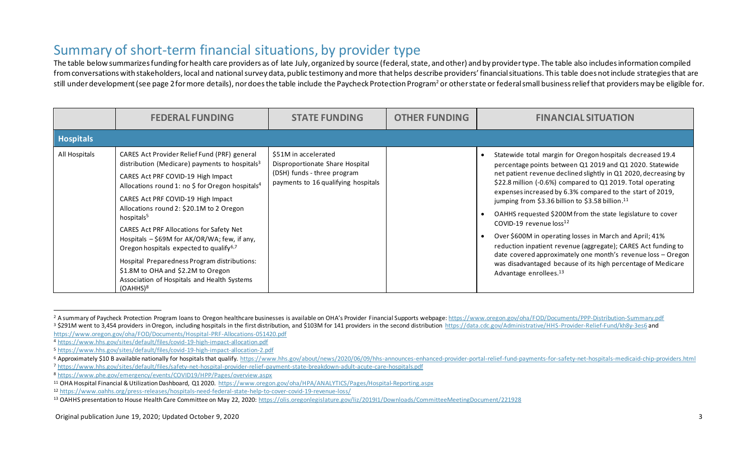## Summary of short-term financial situations, by provider type

The table below summarizes funding for health care providers as of late July, organized by source (federal, state, and other) and by provider type. The table also includes information compiled from conversations with stakeholders, local and national survey data, public testimony and more that helps describe providers' financial situations. This table does not include strategies that are still under development (see page 2 for more details), nor does the table include the Paycheck Protection Program<sup>2</sup> or other state or federal small business relief that providers may be eligible for.

|                  | <b>FEDERAL FUNDING</b>                                                                                                                                                                                                                                                                                                                                                                                                                                                                                                                                                                                                     | <b>STATE FUNDING</b>                                                                                                          | <b>OTHER FUNDING</b> | <b>FINANCIAL SITUATION</b>                                                                                                                                                                                                                                                                                                                                                                                                                                                                                                                                                                                                                                                                                                                                                                   |
|------------------|----------------------------------------------------------------------------------------------------------------------------------------------------------------------------------------------------------------------------------------------------------------------------------------------------------------------------------------------------------------------------------------------------------------------------------------------------------------------------------------------------------------------------------------------------------------------------------------------------------------------------|-------------------------------------------------------------------------------------------------------------------------------|----------------------|----------------------------------------------------------------------------------------------------------------------------------------------------------------------------------------------------------------------------------------------------------------------------------------------------------------------------------------------------------------------------------------------------------------------------------------------------------------------------------------------------------------------------------------------------------------------------------------------------------------------------------------------------------------------------------------------------------------------------------------------------------------------------------------------|
| <b>Hospitals</b> |                                                                                                                                                                                                                                                                                                                                                                                                                                                                                                                                                                                                                            |                                                                                                                               |                      |                                                                                                                                                                                                                                                                                                                                                                                                                                                                                                                                                                                                                                                                                                                                                                                              |
| All Hospitals    | CARES Act Provider Relief Fund (PRF) general<br>distribution (Medicare) payments to hospitals $3$<br>CARES Act PRF COVID-19 High Impact<br>Allocations round 1: no \$ for Oregon hospitals <sup>4</sup><br>CARES Act PRF COVID-19 High Impact<br>Allocations round 2: \$20.1M to 2 Oregon<br>hospitals <sup>5</sup><br>CARES Act PRF Allocations for Safety Net<br>Hospitals - \$69M for AK/OR/WA; few, if any,<br>Oregon hospitals expected to qualify <sup>6,7</sup><br>Hospital Preparedness Program distributions:<br>\$1.8M to OHA and \$2.2M to Oregon<br>Association of Hospitals and Health Systems<br>$(OAHHS)^8$ | \$51M in accelerated<br>Disproportionate Share Hospital<br>(DSH) funds - three program<br>payments to 16 qualifying hospitals |                      | Statewide total margin for Oregon hospitals decreased 19.4<br>percentage points between Q1 2019 and Q1 2020. Statewide<br>net patient revenue declined slightly in Q1 2020, decreasing by<br>\$22.8 million (-0.6%) compared to Q1 2019. Total operating<br>expenses increased by 6.3% compared to the start of 2019,<br>jumping from \$3.36 billion to \$3.58 billion. <sup>11</sup><br>OAHHS requested \$200M from the state legislature to cover<br>COVID-19 revenue loss <sup>12</sup><br>Over \$600M in operating losses in March and April; 41%<br>reduction inpatient revenue (aggregate); CARES Act funding to<br>date covered approximately one month's revenue loss - Oregon<br>was disadvantaged because of its high percentage of Medicare<br>Advantage enrollees. <sup>13</sup> |

<sup>&</sup>lt;sup>2</sup> A summary of Paycheck Protection Program loans to Oregon healthcare businesses is available on OHA's Provider Financial Supports webpage: <https://www.oregon.gov/oha/FOD/Documents/PPP-Distribution-Summary.pdf> <sup>3</sup> \$291M went to 3,454 providers in Oregon, including hospitals in the first distribution, and \$103M for 141 providers in the second distribution<https://data.cdc.gov/Administrative/HHS-Provider-Relief-Fund/kh8y-3es6> and

<https://www.oregon.gov/oha/FOD/Documents/Hospital-PRF-Allocations-051420.pdf>

<sup>4</sup> <https://www.hhs.gov/sites/default/files/covid-19-high-impact-allocation.pdf>

<sup>5</sup> <https://www.hhs.gov/sites/default/files/covid-19-high-impact-allocation-2.pdf>

<sup>6</sup> Approximately \$10 B available nationally for hospitals that qualify. https://www.hhs.gov/about/news/2020/06/09/hhs-announces-enhanced-provider-portal-relief-fund-payments-for-safety-net-hospitals-medicaid-chip-providers. <sup>7</sup> <https://www.hhs.gov/sites/default/files/safety-net-hospital-provider-relief-payment-state-breakdown-adult-acute-care-hospitals.pdf>

<sup>8</sup> <https://www.phe.gov/emergency/events/COVID19/HPP/Pages/overview.aspx>

<sup>11</sup> OHA Hospital Financial & Utilization Dashboard, Q1 2020.<https://www.oregon.gov/oha/HPA/ANALYTICS/Pages/Hospital-Reporting.aspx>

<sup>12</sup> <https://www.oahhs.org/press-releases/hospitals-need-federal-state-help-to-cover-covid-19-revenue-loss/>

<sup>13</sup> OAHHS presentation to House Health Care Committee on May 22, 2020[: https://olis.oregonlegislature.gov/liz/2019I1/Downloads/CommitteeMeetingDocument/221928](https://olis.oregonlegislature.gov/liz/2019I1/Downloads/CommitteeMeetingDocument/221928)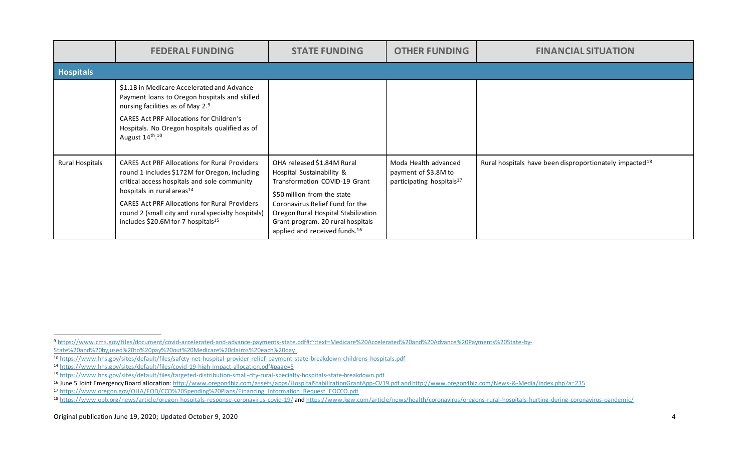|                  | <b>FEDERAL FUNDING</b>                                                                                                                                                                                                                                                                                                                                          | <b>STATE FUNDING</b>                                                                                                                                                                                                                                                                | <b>OTHER FUNDING</b>                                                                  | <b>FINANCIAL SITUATION</b>                                          |
|------------------|-----------------------------------------------------------------------------------------------------------------------------------------------------------------------------------------------------------------------------------------------------------------------------------------------------------------------------------------------------------------|-------------------------------------------------------------------------------------------------------------------------------------------------------------------------------------------------------------------------------------------------------------------------------------|---------------------------------------------------------------------------------------|---------------------------------------------------------------------|
| <b>Hospitals</b> |                                                                                                                                                                                                                                                                                                                                                                 |                                                                                                                                                                                                                                                                                     |                                                                                       |                                                                     |
|                  | \$1.1B in Medicare Accelerated and Advance<br>Payment loans to Oregon hospitals and skilled<br>nursing facilities as of May 2.9<br><b>CARES Act PRF Allocations for Children's</b><br>Hospitals. No Oregon hospitals qualified as of<br>August 14th. <sup>10</sup>                                                                                              |                                                                                                                                                                                                                                                                                     |                                                                                       |                                                                     |
| Rural Hospitals  | <b>CARES Act PRF Allocations for Rural Providers</b><br>round 1 includes \$172M for Oregon, including<br>critical access hospitals and sole community<br>hospitals in rural areas <sup>14</sup><br><b>CARES Act PRF Allocations for Rural Providers</b><br>round 2 (small city and rural specialty hospitals)<br>includes \$20.6M for 7 hospitals <sup>15</sup> | OHA released \$1.84M Rural<br>Hospital Sustainability &<br>Transformation COVID-19 Grant<br>\$50 million from the state<br>Coronavirus Relief Fund for the<br>Oregon Rural Hospital Stabilization<br>Grant program. 20 rural hospitals<br>applied and received funds. <sup>16</sup> | Moda Health advanced<br>payment of \$3.8M to<br>participating hospitals <sup>17</sup> | Rural hospitals have been disproportionately impacted <sup>18</sup> |

<sup>9</sup> [https://www.cms.gov/files/document/covid-accelerated-and-advance-payments-state.pdf#:~:text=Medicare%20Accelerated%20and%20Advance%20Payments%20State-by-](https://www.cms.gov/files/document/covid-accelerated-and-advance-payments-state.pdf#:~:text=Medicare%20Accelerated%20and%20Advance%20Payments%20State-by-State%20and%20by,used%20to%20pay%20out%20Medicare%20claims%20each%20day)

[State%20and%20by,used%20to%20pay%20out%20Medicare%20claims%20each%20day.](https://www.cms.gov/files/document/covid-accelerated-and-advance-payments-state.pdf#:~:text=Medicare%20Accelerated%20and%20Advance%20Payments%20State-by-State%20and%20by,used%20to%20pay%20out%20Medicare%20claims%20each%20day)

<sup>10</sup> <https://www.hhs.gov/sites/default/files/safety-net-hospital-provider-relief-payment-state-breakdown-childrens-hospitals.pdf>

<sup>14</sup> <https://www.hhs.gov/sites/default/files/covid-19-high-impact-allocation.pdf#page=5>

<sup>15</sup> <https://www.hhs.gov/sites/default/files/targeted-distribution-small-city-rural-specialty-hospitals-state-breakdown.pdf>

<sup>&</sup>lt;sup>16</sup> June 5 Joint Emergency Board allocation[: http://www.oregon4biz.com/assets/apps/HospitalStabilizationGrantApp-CV19.pdf](http://www.oregon4biz.com/assets/apps/HospitalStabilizationGrantApp-CV19.pdf) and http://www.oregon4biz.com/News-&-Media/index.php?a=235

<sup>17</sup> [https://www.oregon.gov/OHA/FOD/CCO%20Spending%20Plans/Financing\\_Information\\_Request\\_EOCCO.pdf](https://www.oregon.gov/OHA/FOD/CCO%20Spending%20Plans/Financing_Information_Request_EOCCO.pdf)

<sup>18</sup> <https://www.opb.org/news/article/oregon-hospitals-response-coronavirus-covid-19/> and https://www.kgw.com/article/news/health/coronavirus/oregons-rural-hospitals-hurting-during-coronavirus-pandemic/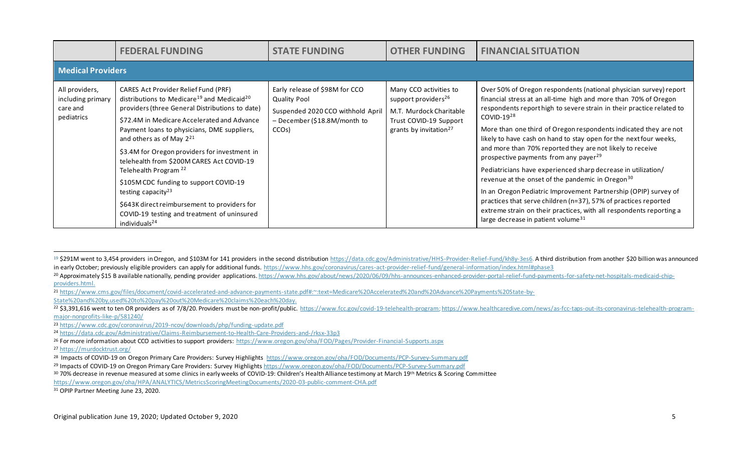|                                                               | <b>FEDERAL FUNDING</b>                                                                                                                                                                                                                                                                                                                                                                                                                                                                                                                                                                                                                 | <b>STATE FUNDING</b>                                                                                                                             | <b>OTHER FUNDING</b>                                                                                                                                 | <b>FINANCIAL SITUATION</b>                                                                                                                                                                                                                                                                                                                                                                                                                                                                                                                                                                                                                                                                                                                                                                                                                                                                |  |  |  |  |
|---------------------------------------------------------------|----------------------------------------------------------------------------------------------------------------------------------------------------------------------------------------------------------------------------------------------------------------------------------------------------------------------------------------------------------------------------------------------------------------------------------------------------------------------------------------------------------------------------------------------------------------------------------------------------------------------------------------|--------------------------------------------------------------------------------------------------------------------------------------------------|------------------------------------------------------------------------------------------------------------------------------------------------------|-------------------------------------------------------------------------------------------------------------------------------------------------------------------------------------------------------------------------------------------------------------------------------------------------------------------------------------------------------------------------------------------------------------------------------------------------------------------------------------------------------------------------------------------------------------------------------------------------------------------------------------------------------------------------------------------------------------------------------------------------------------------------------------------------------------------------------------------------------------------------------------------|--|--|--|--|
|                                                               | <b>Medical Providers</b>                                                                                                                                                                                                                                                                                                                                                                                                                                                                                                                                                                                                               |                                                                                                                                                  |                                                                                                                                                      |                                                                                                                                                                                                                                                                                                                                                                                                                                                                                                                                                                                                                                                                                                                                                                                                                                                                                           |  |  |  |  |
| All providers,<br>including primary<br>care and<br>pediatrics | CARES Act Provider Relief Fund (PRF)<br>distributions to Medicare <sup>19</sup> and Medicaid <sup>20</sup><br>providers (three General Distributions to date)<br>\$72.4M in Medicare Accelerated and Advance<br>Payment loans to physicians, DME suppliers,<br>and others as of May $2^{21}$<br>\$3.4M for Oregon providers for investment in<br>telehealth from \$200M CARES Act COVID-19<br>Telehealth Program <sup>22</sup><br>\$105M CDC funding to support COVID-19<br>testing capacity <sup>23</sup><br>\$643K direct reimbursement to providers for<br>COVID-19 testing and treatment of uninsured<br>individuals <sup>24</sup> | Early release of \$98M for CCO<br><b>Quality Pool</b><br>Suspended 2020 CCO withhold April<br>- December (\$18.8M/month to<br>CCO <sub>s</sub> ) | Many CCO activities to<br>support providers <sup>26</sup><br>M.T. Murdock Charitable<br>Trust COVID-19 Support<br>grants by invitation <sup>27</sup> | Over 50% of Oregon respondents (national physician survey) report<br>financial stress at an all-time high and more than 70% of Oregon<br>respondents report high to severe strain in their practice related to<br>$COVID-1928$<br>More than one third of Oregon respondents indicated they are not<br>likely to have cash on hand to stay open for the next four weeks,<br>and more than 70% reported they are not likely to receive<br>prospective payments from any payer <sup>29</sup><br>Pediatricians have experienced sharp decrease in utilization/<br>revenue at the onset of the pandemic in Oregon <sup>30</sup><br>In an Oregon Pediatric Improvement Partnership (OPIP) survey of<br>practices that serve children (n=37), 57% of practices reported<br>extreme strain on their practices, with all respondents reporting a<br>large decrease in patient volume <sup>31</sup> |  |  |  |  |

<sup>27</sup> <https://murdocktrust.org/>

30 70% decrease in revenue measured at some clinics in early weeks of COVID-19: Children's Health Alliance testimony at March 19th Metrics & Scoring Committee

<https://www.oregon.gov/oha/HPA/ANALYTICS/MetricsScoringMeetingDocuments/2020-03-public-comment-CHA.pdf>

<sup>31</sup> OPIP Partner Meeting June 23, 2020.

<sup>&</sup>lt;sup>19</sup> \$291M went to 3,454 providers in Oregon, and \$103M for 141 providers in the second distributio[n https://data.cdc.gov/Administrative/HHS-Provider-Relief-Fund/kh8y-3es6.](https://data.cdc.gov/Administrative/HHS-Provider-Relief-Fund/kh8y-3es6) A third distribution from another \$20 billion was in early October; previously eligible providers can apply for additional funds.<https://www.hhs.gov/coronavirus/cares-act-provider-relief-fund/general-information/index.html#phase3>

<sup>20</sup> Approximately \$15 B available nationally, pending provider applications[. https://www.hhs.gov/about/news/2020/06/09/hhs-announces-enhanced-provider-portal-relief-fund-payments-for-safety-net-hospitals-medicaid-chip](https://www.hhs.gov/about/news/2020/06/09/hhs-announces-enhanced-provider-portal-relief-fund-payments-for-safety-net-hospitals-medicaid-chip-providers.html)[providers.html.](https://www.hhs.gov/about/news/2020/06/09/hhs-announces-enhanced-provider-portal-relief-fund-payments-for-safety-net-hospitals-medicaid-chip-providers.html) 

<sup>21</sup> [https://www.cms.gov/files/document/covid-accelerated-and-advance-payments-state.pdf#:~:text=Medicare%20Accelerated%20and%20Advance%20Payments%20State-by-](https://www.cms.gov/files/document/covid-accelerated-and-advance-payments-state.pdf#:~:text=Medicare%20Accelerated%20and%20Advance%20Payments%20State-by-State%20and%20by,used%20to%20pay%20out%20Medicare%20claims%20each%20day)

[State%20and%20by,used%20to%20pay%20out%20Medicare%20claims%20each%20day.](https://www.cms.gov/files/document/covid-accelerated-and-advance-payments-state.pdf#:~:text=Medicare%20Accelerated%20and%20Advance%20Payments%20State-by-State%20and%20by,used%20to%20pay%20out%20Medicare%20claims%20each%20day)

<sup>22 \$3,391,616</sup> went to ten OR providers as of 7/8/20. Providers must be non-profit/public.<https://www.fcc.gov/covid-19-telehealth-program>; https://www.healthcaredive.com/news/as-fcc-taps-out-its-coronavirus-telehealth-prog [major-nonprofits-like-p/581240/](https://www.healthcaredive.com/news/as-fcc-taps-out-its-coronavirus-telehealth-program-major-nonprofits-like-p/581240/)

<sup>23</sup> <https://www.cdc.gov/coronavirus/2019-ncov/downloads/php/funding-update.pdf>

<sup>24</sup> <https://data.cdc.gov/Administrative/Claims-Reimbursement-to-Health-Care-Providers-and-/rksx-33p3>

<sup>26</sup> For more information about CCO activities to support providers: https://www.oregon.gov/oha/FOD/Pages/Provider-Financial-Supports.aspx

<sup>28</sup> Impacts of COVID-19 on Oregon Primary Care Providers: Survey Highlights<https://www.oregon.gov/oha/FOD/Documents/PCP-Survey-Summary.pdf>

<sup>29</sup> Impacts of COVID-19 on Oregon Primary Care Providers: Survey Highlight[s https://www.oregon.gov/oha/FOD/Documents/PCP-Survey-Summary.pdf](https://www.oregon.gov/oha/FOD/Documents/PCP-Survey-Summary.pdf)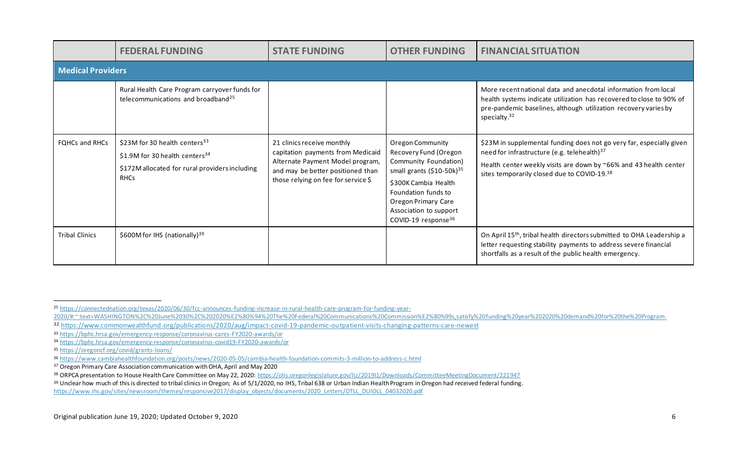|                       | <b>FEDERAL FUNDING</b>                                                                                                                                    | <b>STATE FUNDING</b>                                                                                                                                                            | <b>OTHER FUNDING</b>                                                                                                                                                                                                                           | <b>FINANCIAL SITUATION</b>                                                                                                                                                                                                                          |  |  |  |
|-----------------------|-----------------------------------------------------------------------------------------------------------------------------------------------------------|---------------------------------------------------------------------------------------------------------------------------------------------------------------------------------|------------------------------------------------------------------------------------------------------------------------------------------------------------------------------------------------------------------------------------------------|-----------------------------------------------------------------------------------------------------------------------------------------------------------------------------------------------------------------------------------------------------|--|--|--|
|                       | <b>Medical Providers</b>                                                                                                                                  |                                                                                                                                                                                 |                                                                                                                                                                                                                                                |                                                                                                                                                                                                                                                     |  |  |  |
|                       | Rural Health Care Program carryover funds for<br>telecommunications and broadband <sup>25</sup>                                                           |                                                                                                                                                                                 |                                                                                                                                                                                                                                                | More recent national data and anecdotal information from local<br>health systems indicate utilization has recovered to close to 90% of<br>pre-pandemic baselines, although utilization recovery varies by<br>specialty. <sup>32</sup>               |  |  |  |
| <b>FOHCs and RHCs</b> | $$23M$ for 30 health centers <sup>33</sup><br>\$1.9M for 30 health centers <sup>34</sup><br>\$172M allocated for rural providers including<br><b>RHCs</b> | 21 clinics receive monthly<br>capitation payments from Medicaid<br>Alternate Payment Model program,<br>and may be better positioned than<br>those relying on fee for service \$ | Oregon Community<br>Recovery Fund (Oregon<br>Community Foundation)<br>small grants (\$10-50k) <sup>35</sup><br>\$300K Cambia Health<br>Foundation funds to<br>Oregon Primary Care<br>Association to support<br>COVID-19 response <sup>36</sup> | \$23M in supplemental funding does not go very far, especially given<br>need for infrastructure (e.g. telehealth) <sup>37</sup><br>Health center weekly visits are down by ~66% and 43 health center<br>sites temporarily closed due to COVID-19.38 |  |  |  |
| <b>Tribal Clinics</b> | \$600M for IHS (nationally) <sup>39</sup>                                                                                                                 |                                                                                                                                                                                 |                                                                                                                                                                                                                                                | On April 15 <sup>th</sup> , tribal health directors submitted to OHA Leadership a<br>letter requesting stability payments to address severe financial<br>shortfalls as a result of the public health emergency.                                     |  |  |  |

<sup>25</sup> [https://connectednation.org/texas/2020/06/30/fcc-announces-funding-increase-in-rural-health-care-program-for-funding-year-](https://connectednation.org/texas/2020/06/30/fcc-announces-funding-increase-in-rural-health-care-program-for-funding-year-2020/#:~:text=WASHINGTON%2C%20June%2030%2C%202020%E2%80%94%20The%20Federal%20Communications%20Commission%E2%80%99s,satisfy%20funding%20year%202020%20demand%20for%20the%20Program)

[<sup>2020/#:~:</sup>text=WASHINGTON%2C%20June%2030%2C%202020%E2%80%94%20The%20Federal%20Communications%20Commission%E2%80%99s,satisfy%20funding%20year%202020%20demand%20for%20the%20Program](https://connectednation.org/texas/2020/06/30/fcc-announces-funding-increase-in-rural-health-care-program-for-funding-year-2020/#:~:text=WASHINGTON%2C%20June%2030%2C%202020%E2%80%94%20The%20Federal%20Communications%20Commission%E2%80%99s,satisfy%20funding%20year%202020%20demand%20for%20the%20Program).

<sup>32</sup> <https://www.commonwealthfund.org/publications/2020/aug/impact-covid-19-pandemic-outpatient-visits-changing-patterns-care-newest>

<sup>33</sup> <https://bphc.hrsa.gov/emergency-response/coronavirus-cares-FY2020-awards/or>

<sup>34</sup> <https://bphc.hrsa.gov/emergency-response/coronavirus-covid19-FY2020-awards/or>

<sup>35</sup> <https://oregoncf.org/covid/grants-loans/>

<sup>36</sup> <https://www.cambiahealthfoundation.org/posts/news/2020-05-05/cambia-health-foundation-commits-3-million-to-address-c.html>

<sup>&</sup>lt;sup>37</sup> Oregon Primary Care Association communication with OHA, April and May 2020

<sup>38</sup> ORPCA presentation to House Health Care Committee on May 22, 2020: https://olis.oregonlegislature.gov/liz/201911/Downloads/CommitteeMeetingDocument/221947

<sup>39</sup> Unclear how much of this is directed to tribal clinics in Oregon; As of 5/1/2020, no IHS, Tribal 638 or Urban Indian Health Program in Oregon had received federal funding.

[https://www.ihs.gov/sites/newsroom/themes/responsive2017/display\\_objects/documents/2020\\_Letters/DTLL\\_DUIOLL\\_04032020.pdf](https://www.ihs.gov/sites/newsroom/themes/responsive2017/display_objects/documents/2020_Letters/DTLL_DUIOLL_04032020.pdf)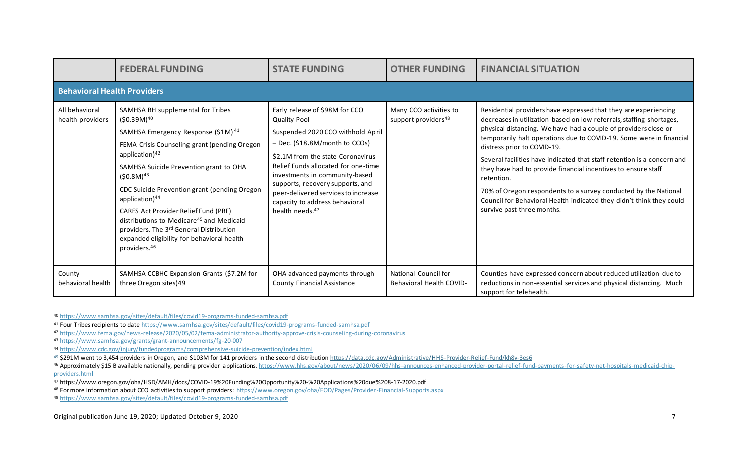|                                    | <b>FEDERAL FUNDING</b>                                                                                                                                                                                                                                                                                                                                                                                                                                                                                                                     | <b>STATE FUNDING</b>                                                                                                                                                                                                                                                                                                                                                                   | <b>OTHER FUNDING</b>                                      | <b>FINANCIAL SITUATION</b>                                                                                                                                                                                                                                                                                                                                                                                                                                                                                                                                                                                                                          |  |  |  |  |
|------------------------------------|--------------------------------------------------------------------------------------------------------------------------------------------------------------------------------------------------------------------------------------------------------------------------------------------------------------------------------------------------------------------------------------------------------------------------------------------------------------------------------------------------------------------------------------------|----------------------------------------------------------------------------------------------------------------------------------------------------------------------------------------------------------------------------------------------------------------------------------------------------------------------------------------------------------------------------------------|-----------------------------------------------------------|-----------------------------------------------------------------------------------------------------------------------------------------------------------------------------------------------------------------------------------------------------------------------------------------------------------------------------------------------------------------------------------------------------------------------------------------------------------------------------------------------------------------------------------------------------------------------------------------------------------------------------------------------------|--|--|--|--|
|                                    | <b>Behavioral Health Providers</b>                                                                                                                                                                                                                                                                                                                                                                                                                                                                                                         |                                                                                                                                                                                                                                                                                                                                                                                        |                                                           |                                                                                                                                                                                                                                                                                                                                                                                                                                                                                                                                                                                                                                                     |  |  |  |  |
| All behavioral<br>health providers | SAMHSA BH supplemental for Tribes<br>$(50.39M)^{40}$<br>SAMHSA Emergency Response (\$1M) <sup>41</sup><br>FEMA Crisis Counseling grant (pending Oregon<br>application) $42$<br>SAMHSA Suicide Prevention grant to OHA<br>$(50.8M)^{43}$<br>CDC Suicide Prevention grant (pending Oregon<br>application) <sup>44</sup><br>CARES Act Provider Relief Fund (PRF)<br>distributions to Medicare <sup>45</sup> and Medicaid<br>providers. The 3rd General Distribution<br>expanded eligibility for behavioral health<br>providers. <sup>46</sup> | Early release of \$98M for CCO<br><b>Quality Pool</b><br>Suspended 2020 CCO withhold April<br>- Dec. (\$18.8M/month to CCOs)<br>\$2.1M from the state Coronavirus<br>Relief Funds allocated for one-time<br>investments in community-based<br>supports, recovery supports, and<br>peer-delivered services to increase<br>capacity to address behavioral<br>health needs. <sup>47</sup> | Many CCO activities to<br>support providers <sup>48</sup> | Residential providers have expressed that they are experiencing<br>decreases in utilization based on low referrals, staffing shortages,<br>physical distancing. We have had a couple of providers close or<br>temporarily halt operations due to COVID-19. Some were in financial<br>distress prior to COVID-19.<br>Several facilities have indicated that staff retention is a concern and<br>they have had to provide financial incentives to ensure staff<br>retention.<br>70% of Oregon respondents to a survey conducted by the National<br>Council for Behavioral Health indicated they didn't think they could<br>survive past three months. |  |  |  |  |
| County<br>behavioral health        | SAMHSA CCBHC Expansion Grants (\$7.2M for<br>three Oregon sites)49                                                                                                                                                                                                                                                                                                                                                                                                                                                                         | OHA advanced payments through<br><b>County Financial Assistance</b>                                                                                                                                                                                                                                                                                                                    | National Council for<br><b>Behavioral Health COVID-</b>   | Counties have expressed concern about reduced utilization due to<br>reductions in non-essential services and physical distancing. Much<br>support for telehealth.                                                                                                                                                                                                                                                                                                                                                                                                                                                                                   |  |  |  |  |

<sup>40</sup> <https://www.samhsa.gov/sites/default/files/covid19-programs-funded-samhsa.pdf>

<sup>41</sup> Four Tribes recipients to dat[e https://www.samhsa.gov/sites/default/files/covid19-programs-funded-samhsa.pdf](https://www.samhsa.gov/sites/default/files/covid19-programs-funded-samhsa.pdf)

<sup>42</sup> <https://www.fema.gov/news-release/2020/05/02/fema-administrator-authority-approve-crisis-counseling-during-coronavirus>

<sup>43</sup> <https://www.samhsa.gov/grants/grant-announcements/fg-20-007>

<sup>44</sup> <https://www.cdc.gov/injury/fundedprograms/comprehensive-suicide-prevention/index.html>

<sup>45 \$291</sup>M went to 3,454 providers in Oregon, and \$103M for 141 providers in the second distributio[n https://data.cdc.gov/Administrative/HHS-Provider-Relief-Fund/kh8y-3es6](https://data.cdc.gov/Administrative/HHS-Provider-Relief-Fund/kh8y-3es6)

<sup>46</sup> Approximately \$15 B available nationally, pending provider applications[. https://www.hhs.gov/about/news/2020/06/09/hhs-announces-enhanced-provider-portal-relief-fund-payments-for-safety-net-hospitals-medicaid-chip](https://www.hhs.gov/about/news/2020/06/09/hhs-announces-enhanced-provider-portal-relief-fund-payments-for-safety-net-hospitals-medicaid-chip-providers.html)[providers.html](https://www.hhs.gov/about/news/2020/06/09/hhs-announces-enhanced-provider-portal-relief-fund-payments-for-safety-net-hospitals-medicaid-chip-providers.html)

<sup>47</sup> https://www.oregon.gov/oha/HSD/AMH/docs/COVID-19%20Funding%20Opportunity%20-%20Applications%20due%208-17-2020.pdf

<sup>48</sup> For more information about CCO activities to support providers:<https://www.oregon.gov/oha/FOD/Pages/Provider-Financial-Supports.aspx>

<sup>49</sup> <https://www.samhsa.gov/sites/default/files/covid19-programs-funded-samhsa.pdf>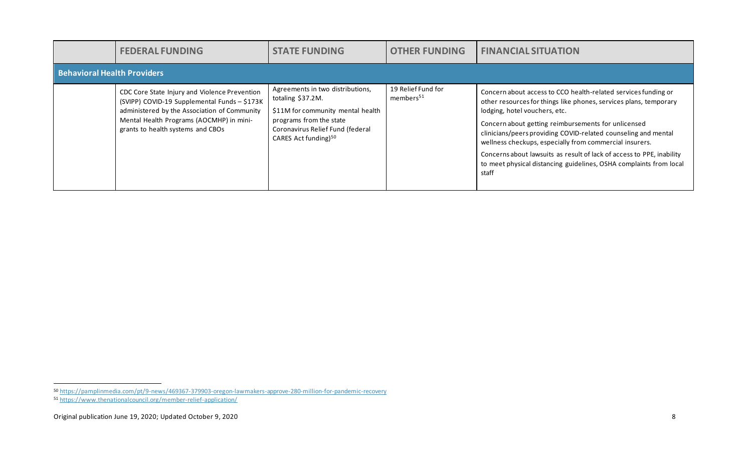|                                    | <b>FEDERAL FUNDING</b>                                                                                                                                                                                                         | <b>STATE FUNDING</b>                                                                                                                                                                          | <b>OTHER FUNDING</b>                        | <b>FINANCIAL SITUATION</b>                                                                                                                                                                                                                                                                                                                                                                                                                                                                                       |
|------------------------------------|--------------------------------------------------------------------------------------------------------------------------------------------------------------------------------------------------------------------------------|-----------------------------------------------------------------------------------------------------------------------------------------------------------------------------------------------|---------------------------------------------|------------------------------------------------------------------------------------------------------------------------------------------------------------------------------------------------------------------------------------------------------------------------------------------------------------------------------------------------------------------------------------------------------------------------------------------------------------------------------------------------------------------|
| <b>Behavioral Health Providers</b> |                                                                                                                                                                                                                                |                                                                                                                                                                                               |                                             |                                                                                                                                                                                                                                                                                                                                                                                                                                                                                                                  |
|                                    | CDC Core State Injury and Violence Prevention<br>(SVIPP) COVID-19 Supplemental Funds - \$173K<br>administered by the Association of Community<br>Mental Health Programs (AOCMHP) in mini-<br>grants to health systems and CBOs | Agreements in two distributions,<br>totaling \$37.2M.<br>\$11M for community mental health<br>programs from the state<br>Coronavirus Relief Fund (federal<br>CARES Act funding) <sup>50</sup> | 19 Relief Fund for<br>members <sup>51</sup> | Concern about access to CCO health-related services funding or<br>other resources for things like phones, services plans, temporary<br>lodging, hotel vouchers, etc.<br>Concern about getting reimbursements for unlicensed<br>clinicians/peers providing COVID-related counseling and mental<br>wellness checkups, especially from commercial insurers.<br>Concerns about lawsuits as result of lack of access to PPE, inability<br>to meet physical distancing guidelines, OSHA complaints from local<br>staff |

<sup>50</sup> <https://pamplinmedia.com/pt/9-news/469367-379903-oregon-lawmakers-approve-280-million-for-pandemic-recovery>

<sup>51</sup> <https://www.thenationalcouncil.org/member-relief-application/>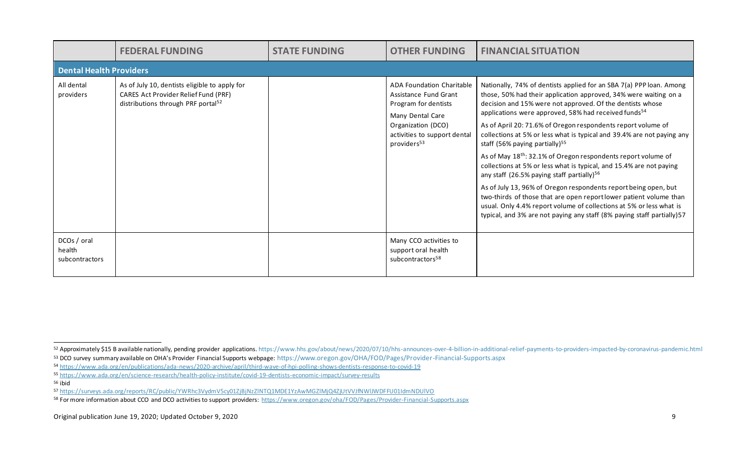|                                         | <b>FEDERAL FUNDING</b>                                                                                                                  | <b>STATE FUNDING</b> | <b>OTHER FUNDING</b>                                                                                                                                                            | <b>FINANCIAL SITUATION</b>                                                                                                                                                                                                                                                                                                                                                                                                                                                                                                                                                                                                                                                                                                                                                                                                                                                                                                                                       |  |  |  |
|-----------------------------------------|-----------------------------------------------------------------------------------------------------------------------------------------|----------------------|---------------------------------------------------------------------------------------------------------------------------------------------------------------------------------|------------------------------------------------------------------------------------------------------------------------------------------------------------------------------------------------------------------------------------------------------------------------------------------------------------------------------------------------------------------------------------------------------------------------------------------------------------------------------------------------------------------------------------------------------------------------------------------------------------------------------------------------------------------------------------------------------------------------------------------------------------------------------------------------------------------------------------------------------------------------------------------------------------------------------------------------------------------|--|--|--|
|                                         | <b>Dental Health Providers</b>                                                                                                          |                      |                                                                                                                                                                                 |                                                                                                                                                                                                                                                                                                                                                                                                                                                                                                                                                                                                                                                                                                                                                                                                                                                                                                                                                                  |  |  |  |
| All dental<br>providers                 | As of July 10, dentists eligible to apply for<br>CARES Act Provider Relief Fund (PRF)<br>distributions through PRF portal <sup>52</sup> |                      | ADA Foundation Charitable<br>Assistance Fund Grant<br>Program for dentists<br>Many Dental Care<br>Organization (DCO)<br>activities to support dental<br>providers <sup>53</sup> | Nationally, 74% of dentists applied for an SBA 7(a) PPP loan. Among<br>those, 50% had their application approved, 34% were waiting on a<br>decision and 15% were not approved. Of the dentists whose<br>applications were approved, 58% had received funds <sup>54</sup><br>As of April 20: 71.6% of Oregon respondents report volume of<br>collections at 5% or less what is typical and 39.4% are not paying any<br>staff (56% paying partially) $55$<br>As of May 18 <sup>th</sup> : 32.1% of Oregon respondents report volume of<br>collections at 5% or less what is typical, and 15.4% are not paying<br>any staff (26.5% paying staff partially) <sup>56</sup><br>As of July 13, 96% of Oregon respondents report being open, but<br>two-thirds of those that are open report lower patient volume than<br>usual. Only 4.4% report volume of collections at 5% or less what is<br>typical, and 3% are not paying any staff (8% paying staff partially) 57 |  |  |  |
| DCOs / oral<br>health<br>subcontractors |                                                                                                                                         |                      | Many CCO activities to<br>support oral health<br>subcontractors <sup>58</sup>                                                                                                   |                                                                                                                                                                                                                                                                                                                                                                                                                                                                                                                                                                                                                                                                                                                                                                                                                                                                                                                                                                  |  |  |  |

<sup>52</sup> Approximately \$15 B available nationally, pending provider applications. https://www.hhs.gov/about/news/2020/07/10/hhs-announces-over-4-billion-in-additional-relief-payments-to-providers-impacted-by-coronavirus-pandemic <sup>53</sup> DCO survey summary available on OHA's Provider Financial Supports webpage: <https://www.oregon.gov/OHA/FOD/Pages/Provider-Financial-Supports.aspx>

<sup>54</sup> <https://www.ada.org/en/publications/ada-news/2020-archive/april/third-wave-of-hpi-polling-shows-dentists-response-to-covid-19>

<sup>55</sup> <https://www.ada.org/en/science-research/health-policy-institute/covid-19-dentists-economic-impact/survey-results>

<sup>56</sup> ibid

<sup>57</sup> <https://surveys.ada.org/reports/RC/public/YWRhc3VydmV5cy01ZjBjNzZlNTQ1MDE1YzAwMGZlMjQ4ZjUtVVJfNWlJWDFFU01IdmNDUlVO>

<sup>58</sup> For more information about CCO and DCO activities to support providers:<https://www.oregon.gov/oha/FOD/Pages/Provider-Financial-Supports.aspx>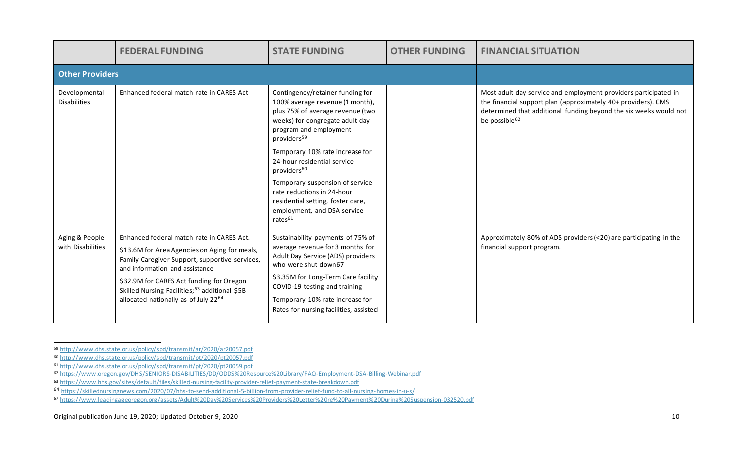|                                      | <b>FEDERAL FUNDING</b>                                                                                                                                                                                                                                                                                                                      | <b>STATE FUNDING</b>                                                                                                                                                                                                                                                                                                                                                                                                                                     | <b>OTHER FUNDING</b> | <b>FINANCIAL SITUATION</b>                                                                                                                                                                                                         |
|--------------------------------------|---------------------------------------------------------------------------------------------------------------------------------------------------------------------------------------------------------------------------------------------------------------------------------------------------------------------------------------------|----------------------------------------------------------------------------------------------------------------------------------------------------------------------------------------------------------------------------------------------------------------------------------------------------------------------------------------------------------------------------------------------------------------------------------------------------------|----------------------|------------------------------------------------------------------------------------------------------------------------------------------------------------------------------------------------------------------------------------|
| <b>Other Providers</b>               |                                                                                                                                                                                                                                                                                                                                             |                                                                                                                                                                                                                                                                                                                                                                                                                                                          |                      |                                                                                                                                                                                                                                    |
| Developmental<br><b>Disabilities</b> | Enhanced federal match rate in CARES Act                                                                                                                                                                                                                                                                                                    | Contingency/retainer funding for<br>100% average revenue (1 month),<br>plus 75% of average revenue (two<br>weeks) for congregate adult day<br>program and employment<br>providers <sup>59</sup><br>Temporary 10% rate increase for<br>24-hour residential service<br>providers <sup>60</sup><br>Temporary suspension of service<br>rate reductions in 24-hour<br>residential setting, foster care,<br>employment, and DSA service<br>rates <sup>61</sup> |                      | Most adult day service and employment providers participated in<br>the financial support plan (approximately 40+ providers). CMS<br>determined that additional funding beyond the six weeks would not<br>be possible <sup>62</sup> |
| Aging & People<br>with Disabilities  | Enhanced federal match rate in CARES Act.<br>\$13.6M for Area Agencies on Aging for meals,<br>Family Caregiver Support, supportive services,<br>and information and assistance<br>\$32.9M for CARES Act funding for Oregon<br>Skilled Nursing Facilities; <sup>63</sup> additional \$5B<br>allocated nationally as of July 22 <sup>64</sup> | Sustainability payments of 75% of<br>average revenue for 3 months for<br>Adult Day Service (ADS) providers<br>who were shut down67<br>\$3.35M for Long-Term Care facility<br>COVID-19 testing and training<br>Temporary 10% rate increase for<br>Rates for nursing facilities, assisted                                                                                                                                                                  |                      | Approximately 80% of ADS providers (<20) are participating in the<br>financial support program.                                                                                                                                    |

<sup>59</sup> <http://www.dhs.state.or.us/policy/spd/transmit/ar/2020/ar20057.pdf>

<sup>60</sup> <http://www.dhs.state.or.us/policy/spd/transmit/pt/2020/pt20057.pdf>

<sup>61</sup> <http://www.dhs.state.or.us/policy/spd/transmit/pt/2020/pt20059.pdf>

<sup>62</sup> <https://www.oregon.gov/DHS/SENIORS-DISABILITIES/DD/ODDS%20Resource%20Library/FAQ-Employment-DSA-Billing-Webinar.pdf>

<sup>63</sup> <https://www.hhs.gov/sites/default/files/skilled-nursing-facility-provider-relief-payment-state-breakdown.pdf>

<sup>64</sup> <https://skillednursingnews.com/2020/07/hhs-to-send-additional-5-billion-from-provider-relief-fund-to-all-nursing-homes-in-u-s/>

<sup>67</sup> <https://www.leadingageoregon.org/assets/Adult%20Day%20Services%20Providers%20Letter%20re%20Payment%20During%20Suspension-032520.pdf>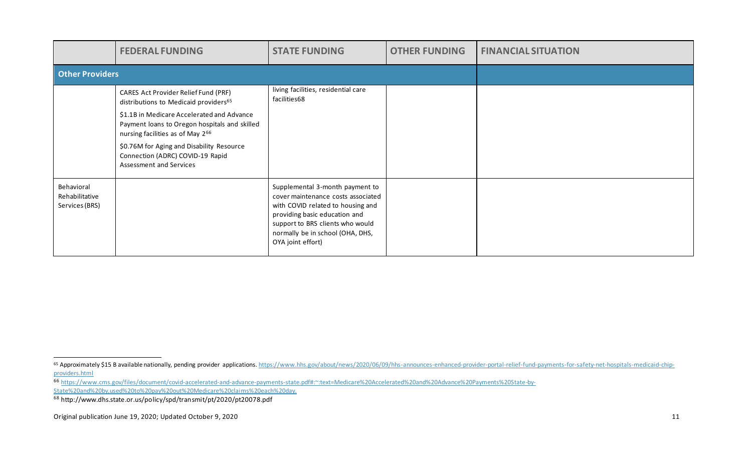|                                                | <b>FEDERAL FUNDING</b>                                                                                                                                                                                                                                                                                                       | <b>STATE FUNDING</b>                                                                                                                                                                                                                     | <b>OTHER FUNDING</b> | <b>FINANCIAL SITUATION</b> |
|------------------------------------------------|------------------------------------------------------------------------------------------------------------------------------------------------------------------------------------------------------------------------------------------------------------------------------------------------------------------------------|------------------------------------------------------------------------------------------------------------------------------------------------------------------------------------------------------------------------------------------|----------------------|----------------------------|
| <b>Other Providers</b>                         |                                                                                                                                                                                                                                                                                                                              |                                                                                                                                                                                                                                          |                      |                            |
|                                                | CARES Act Provider Relief Fund (PRF)<br>distributions to Medicaid providers65<br>\$1.1B in Medicare Accelerated and Advance<br>Payment loans to Oregon hospitals and skilled<br>nursing facilities as of May 266<br>\$0.76M for Aging and Disability Resource<br>Connection (ADRC) COVID-19 Rapid<br>Assessment and Services | living facilities, residential care<br>facilities68                                                                                                                                                                                      |                      |                            |
| Behavioral<br>Rehabilitative<br>Services (BRS) |                                                                                                                                                                                                                                                                                                                              | Supplemental 3-month payment to<br>cover maintenance costs associated<br>with COVID related to housing and<br>providing basic education and<br>support to BRS clients who would<br>normally be in school (OHA, DHS,<br>OYA joint effort) |                      |                            |

<sup>65</sup> Approximately \$15 B available nationally, pending provider applications[. https://www.hhs.gov/about/news/2020/06/09/hhs-announces-enhanced-provider-portal-relief-fund-payments-for-safety-net-hospitals-medicaid-chip](https://www.hhs.gov/about/news/2020/06/09/hhs-announces-enhanced-provider-portal-relief-fund-payments-for-safety-net-hospitals-medicaid-chip-providers.html)[providers.html](https://www.hhs.gov/about/news/2020/06/09/hhs-announces-enhanced-provider-portal-relief-fund-payments-for-safety-net-hospitals-medicaid-chip-providers.html)

<sup>66</sup> [https://www.cms.gov/files/document/covid-accelerated-and-advance-payments-state.pdf#:~:text=Medicare%20Accelerated%20and%20Advance%20Payments%20State-by-](https://www.cms.gov/files/document/covid-accelerated-and-advance-payments-state.pdf#:~:text=Medicare%20Accelerated%20and%20Advance%20Payments%20State-by-State%20and%20by,used%20to%20pay%20out%20Medicare%20claims%20each%20day)

[State%20and%20by,used%20to%20pay%20out%20Medicare%20claims%20each%20day.](https://www.cms.gov/files/document/covid-accelerated-and-advance-payments-state.pdf#:~:text=Medicare%20Accelerated%20and%20Advance%20Payments%20State-by-State%20and%20by,used%20to%20pay%20out%20Medicare%20claims%20each%20day)

<sup>68</sup> http://www.dhs.state.or.us/policy/spd/transmit/pt/2020/pt20078.pdf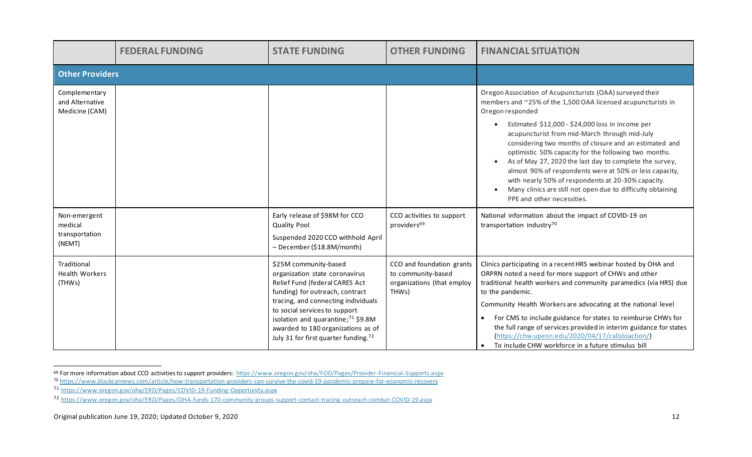|                                                     | <b>FEDERAL FUNDING</b> | <b>STATE FUNDING</b>                                                                                                                                                                                                                                                                                                                             | <b>OTHER FUNDING</b>                                                                   | <b>FINANCIAL SITUATION</b>                                                                                                                                                                                                                                                                                                                                                                                                                                                                                                                                                                                                                     |
|-----------------------------------------------------|------------------------|--------------------------------------------------------------------------------------------------------------------------------------------------------------------------------------------------------------------------------------------------------------------------------------------------------------------------------------------------|----------------------------------------------------------------------------------------|------------------------------------------------------------------------------------------------------------------------------------------------------------------------------------------------------------------------------------------------------------------------------------------------------------------------------------------------------------------------------------------------------------------------------------------------------------------------------------------------------------------------------------------------------------------------------------------------------------------------------------------------|
| <b>Other Providers</b>                              |                        |                                                                                                                                                                                                                                                                                                                                                  |                                                                                        |                                                                                                                                                                                                                                                                                                                                                                                                                                                                                                                                                                                                                                                |
| Complementary<br>and Alternative<br>Medicine (CAM)  |                        |                                                                                                                                                                                                                                                                                                                                                  |                                                                                        | Oregon Association of Acupuncturists (OAA) surveyed their<br>members and ~25% of the 1,500 OAA licensed acupuncturists in<br>Oregon responded<br>Estimated \$12,000 - \$24,000 loss in income per<br>acupuncturist from mid-March through mid-July<br>considering two months of closure and an estimated and<br>optimistic 50% capacity for the following two months.<br>As of May 27, 2020 the last day to complete the survey,<br>almost 90% of respondents were at 50% or less capacity,<br>with nearly 50% of respondents at 20-30% capacity.<br>Many clinics are still not open due to difficulty obtaining<br>PPE and other necessities. |
| Non-emergent<br>medical<br>transportation<br>(NEMT) |                        | Early release of \$98M for CCO<br><b>Quality Pool</b><br>Suspended 2020 CCO withhold April<br>- December (\$18.8M/month)                                                                                                                                                                                                                         | CCO activities to support<br>providers <sup>69</sup>                                   | National information about the impact of COVID-19 on<br>transportation industry <sup>70</sup>                                                                                                                                                                                                                                                                                                                                                                                                                                                                                                                                                  |
| Traditional<br><b>Health Workers</b><br>(THWs)      |                        | \$25M community-based<br>organization state coronavirus<br>Relief Fund (federal CARES Act<br>funding) for outreach, contract<br>tracing, and connecting individuals<br>to social services to support<br>isolation and quarantine; <sup>71</sup> \$9.8M<br>awarded to 180 organizations as of<br>July 31 for first quarter funding. <sup>72</sup> | CCO and foundation grants<br>to community-based<br>organizations (that employ<br>THWs) | Clinics participating in a recent HRS webinar hosted by OHA and<br>ORPRN noted a need for more support of CHWs and other<br>traditional health workers and community paramedics (via HRS) due<br>to the pandemic.<br>Community Health Workers are advocating at the national level<br>For CMS to include guidance for states to reimburse CHWs for<br>the full range of services provided in interim guidance for states<br>(https://chw.upenn.edu/2020/04/17/callstoaction/)<br>To include CHW workforce in a future stimulus bill                                                                                                            |

<sup>69</sup> For more information about CCO activities to support providers:<https://www.oregon.gov/oha/FOD/Pages/Provider-Financial-Supports.aspx>

<sup>70</sup> <https://www.blackcarnews.com/article/how-transportation-providers-can-survive-the-covid-19-pandemic-prepare-for-economic-recovery>

<sup>71</sup> <https://www.oregon.gov/oha/ERD/Pages/COVID-19-Funding-Opportunity.aspx>

<sup>72</sup> <https://www.oregon.gov/oha/ERD/Pages/OHA-funds-170-community-groups-support-contact-tracing-outreach-combat-COVID-19.aspx>